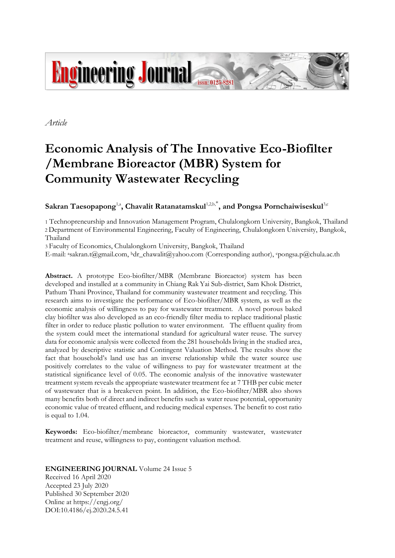

*Article*

# **Economic Analysis of The Innovative Eco-Biofilter /Membrane Bioreactor (MBR) System for Community Wastewater Recycling**

 $\mathbf{S}$ akran Taesopapong<sup>1,a</sup>, Chavalit Ratanatamskul<sup>1,2,b,\*</sup>, and Pongsa Pornchaiwiseskul<sup>3,c</sup>

1 Technopreneurship and Innovation Management Program, Chulalongkorn University, Bangkok, Thailand 2 Department of Environmental Engineering, Faculty of Engineering, Chulalongkorn University, Bangkok, Thailand

3 Faculty of Economics, Chulalongkorn University, Bangkok, Thailand

E-mail: ªsakran.t@gmail.com, ʰdr\_chawalit@yahoo.com (Corresponding author), ʿpongsa.p@chula.ac.th

**Abstract.** A prototype Eco-biofilter/MBR (Membrane Bioreactor) system has been developed and installed at a community in Chiang Rak Yai Sub-district, Sam Khok District, Pathum Thani Province, Thailand for community wastewater treatment and recycling. This research aims to investigate the performance of Eco-biofilter/MBR system, as well as the economic analysis of willingness to pay for wastewater treatment. A novel porous baked clay biofilter was also developed as an eco-friendly filter media to replace traditional plastic filter in order to reduce plastic pollution to water environment. The effluent quality from the system could meet the international standard for agricultural water reuse. The survey data for economic analysis were collected from the 281 households living in the studied area, analyzed by descriptive statistic and Contingent Valuation Method. The results show the fact that household's land use has an inverse relationship while the water source use positively correlates to the value of willingness to pay for wastewater treatment at the statistical significance level of 0.05. The economic analysis of the innovative wastewater treatment system reveals the appropriate wastewater treatment fee at 7 THB per cubic meter of wastewater that is a breakeven point. In addition, the Eco-biofilter/MBR also shows many benefits both of direct and indirect benefits such as water reuse potential, opportunity economic value of treated effluent, and reducing medical expenses. The benefit to cost ratio is equal to 1.04.

**Keywords:** Eco-biofilter/membrane bioreactor, community wastewater, wastewater treatment and reuse, willingness to pay, contingent valuation method.

# **ENGINEERING JOURNAL** Volume 24 Issue 5

Received 16 April 2020 Accepted 23 July 2020 Published 30 September 2020 Online at https://engj.org/ DOI:10.4186/ej.2020.24.5.41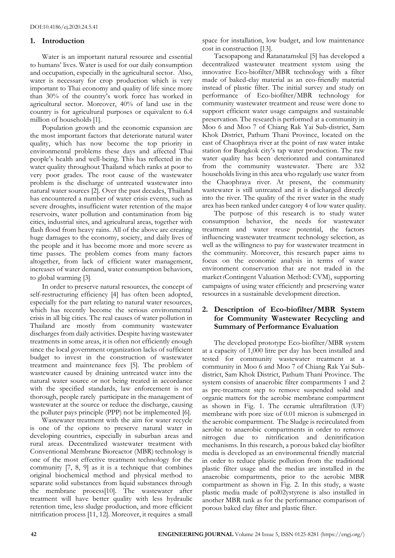# **1. Introduction**

Water is an important natural resource and essential to humans' lives. Water is used for our daily consumption and occupation, especially in the agricultural sector. Also, water is necessary for crop production which is very important to Thai economy and quality of life since more than 30% of the country's work force has worked in agricultural sector. Moreover, 40% of land use in the country is for agricultural purposes or equivalent to 6.4 million of households [1].

Population growth and the economic expansion are the most important factors that deteriorate natural water quality, which has now become the top priority in environmental problems these days and affected Thai people's health and well-being. This has reflected in the water quality throughout Thailand which ranks at poor to very poor grades. The root cause of the wastewater problem is the discharge of untreated wastewater into natural water sources [2]. Over the past decades, Thailand has encountered a number of water crisis events, such as severe droughts, insufficient water retention of the major reservoirs, water pollution and contamination from big cities, industrial sites, and agricultural areas, together with flash flood from heavy rains. All of the above are creating huge damages to the economy, society, and daily lives of the people and it has become more and more severe as time passes. The problem comes from many factors altogether, from lack of efficient water management, increases of water demand, water consumption behaviors, to global warming [3].

In order to preserve natural resources, the concept of self-restructuring efficiency [4] has often been adopted, especially for the part relating to natural water resources, which has recently become the serious environmental crisis in all big cities. The real causes of water pollution in Thailand are mostly from community wastewater discharges from daily activities. Despite having wastewater treatments in some areas, it is often not efficiently enough since the local government organization lacks of sufficient budget to invest in the construction of wastewater treatment and maintenance fees [5]. The problem of wastewater caused by draining untreated water into the natural water source or not being treated in accordance with the specified standards, law enforcement is not thorough, people rarely participate in the management of wastewater at the source or reduce the discharge, causing the polluter pays principle (PPP) not be implemented [6].

Wastewater treatment with the aim for water recycle is one of the options to preserve natural water in developing countries, especially in suburban areas and rural areas. Decentralized wastewater treatment with Conventional Membrane Bioreactor (MBR) technology is one of the most effective treatment technology for the community [7, 8, 9] as it is a technique that combines original biochemical method and physical method to separate solid substances from liquid substances through the membrane process[10]. The wastewater after treatment will have better quality with less hydraulic retention time, less sludge production, and more efficient nitrification process [11, 12]. Moreover, it requires a small

space for installation, low budget, and low maintenance cost in construction [13].

Taesopapong and Ratanatamskul [5] has developed a decentralized wastewater treatment system using the innovative Eco-biofilter/MBR technology with a filter made of baked-clay material as an eco-friendly material instead of plastic filter. The initial survey and study on performance of Eco-biofilter/MBR technology for community wastewater treatment and reuse were done to support efficient water usage campaigns and sustainable preservation. The research is performed at a community in Moo 6 and Moo 7 of Chiang Rak Yai Sub-district, Sam Khok District, Pathum Thani Province, located on the east of Chaophraya river at the point of raw water intake station for Bangkok city's tap water production. The raw water quality has been deteriorated and contaminated from the community wastewater. There are 332 households living in this area who regularly use water from the Chaophraya river. At present, the community wastewater is still untreated and it is discharged directly into the river. The quality of the river water in the study area has been ranked under category 4 of low water quality.

The purpose of this research is to study water consumption behavior, the needs for wastewater treatment and water reuse potential, the factors influencing wastewater treatment technology selection, as well as the willingness to pay for wastewater treatment in the community. Moreover, this research paper aims to focus on the economic analysis in terms of water environment conservation that are not traded in the market (Contingent Valuation Method: CVM), supporting campaigns of using water efficiently and preserving water resources in a sustainable development direction.

# **2. Description of Eco-biofilter/MBR System for Community Wastewater Recycling and Summary of Performance Evaluation**

The developed prototype Eco-biofilter/MBR system at a capacity of 1,000 litre per day has been installed and tested for community wastewater treatment at a community in Moo 6 and Moo 7 of Chiang Rak Yai Subdistrict, Sam Khok District, Pathum Thani Province. The system consists of anaerobic filter compartments 1 and 2 as pre-treatment step to remove suspended solid and organic matters for the aerobic membrane compartment as shown in Fig. 1. The ceramic ultrafiltration (UF) membrane with pore size of 0.01 micron is submerged in the aerobic compartment. The Sludge is recirculated from aerobic to anaerobic compartments in order to remove nitrogen due to nitrification and denitrification mechanisms. In this research, a porous baked clay biofilter media is developed as an environmental friendly material in order to reduce plastic pollution from the traditional plastic filter usage and the medias are installed in the anaerobic compartments, prior to the aerobic MBR compartment as shown in Fig. 2. In this study, a waste plastic media made of pol02ystyrene is also installed in another MBR tank as for the performance comparison of porous baked clay filter and plastic filter.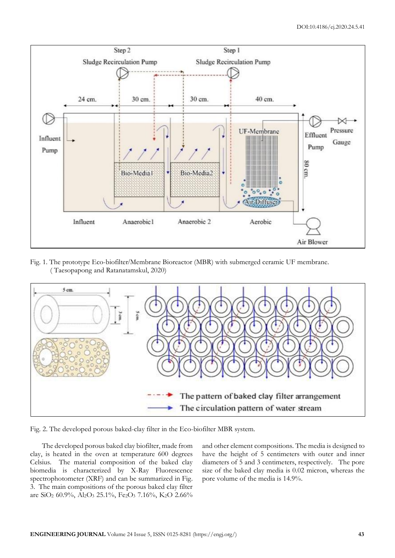

Fig. 1. The prototype Eco-biofilter/Membrane Bioreactor (MBR) with submerged ceramic UF membrane. ( Taesopapong and Ratanatamskul, 2020)



Fig. 2. The developed porous baked-clay filter in the Eco-biofilter MBR system.

The developed porous baked clay biofilter, made from clay, is heated in the oven at temperature 600 degrees Celsius. The material composition of the baked clay biomedia is characterized by X-Ray Fluorescence spectrophotometer (XRF) and can be summarized in Fig. 3. The main compositions of the porous baked clay filter are SiO<sub>2</sub> 60.9%, Al<sub>2</sub>O<sub>3</sub> 25.1%, Fe<sub>2</sub>O<sub>3</sub> 7.16%, K<sub>2</sub>O 2.66%

and other element compositions. The media is designed to have the height of 5 centimeters with outer and inner diameters of 5 and 3 centimeters, respectively. The pore size of the baked clay media is 0.02 micron, whereas the pore volume of the media is 14.9%.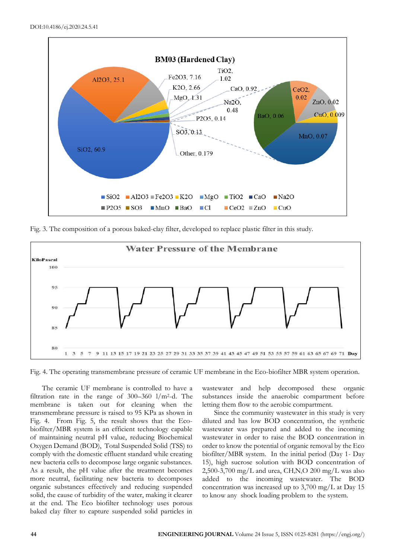

Fig. 3. The composition of a porous baked-clay filter, developed to replace plastic filter in this study.



Fig. 4. The operating transmembrane pressure of ceramic UF membrane in the Eco-biofilter MBR system operation.

The ceramic UF membrane is controlled to have a filtration rate in the range of  $300-360$  l/m<sup>2</sup>-d. The membrane is taken out for cleaning when the transmembrane pressure is raised to 95 KPa as shown in Fig. 4. From Fig. 5, the result shows that the Ecobiofilter/MBR system is an efficient technology capable of maintaining neutral pH value, reducing Biochemical Oxygen Demand (BOD), Total Suspended Solid (TSS) to comply with the domestic effluent standard while creating new bacteria cells to decompose large organic substances. As a result, the pH value after the treatment becomes more neutral, facilitating new bacteria to decomposes organic substances effectively and reducing suspended solid, the cause of turbidity of the water, making it clearer at the end. The Eco biofilter technology uses porous baked clay filter to capture suspended solid particles in

wastewater and help decomposed these organic substances inside the anaerobic compartment before letting them flow to the aerobic compartment.

Since the community wastewater in this study is very diluted and has low BOD concentration, the synthetic wastewater was prepared and added to the incoming wastewater in order to raise the BOD concentration in order to know the potential of organic removal by the Eco biofilter/MBR system. In the initial period (Day 1- Day 15), high sucrose solution with BOD concentration of 2,500-3,700 mg/L and urea,  $CH_4N_2O$  200 mg/L was also added to the incoming wastewater. The BOD concentration was increased up to 3,700 mg/L at Day 15 to know any shock loading problem to the system.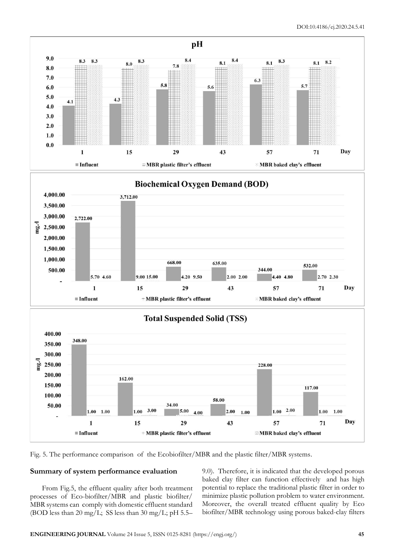

Fig. 5. The performance comparison of the Ecobiofilter/MBR and the plastic filter/MBR systems.

### **Summary of system performance evaluation**

From Fig.5, the effluent quality after both treatment processes of Eco-biofilter/MBR and plastic biofilter/ MBR systems can comply with domestic effluent standard (BOD less than 20 mg/L; SS less than 30 mg/L; pH 5.5–

9.0). Therefore, it is indicated that the developed porous baked clay filter can function effectively and has high potential to replace the traditional plastic filter in order to minimize plastic pollution problem to water environment. Moreover, the overall treated effluent quality by Eco biofilter/MBR technology using porous baked-clay filters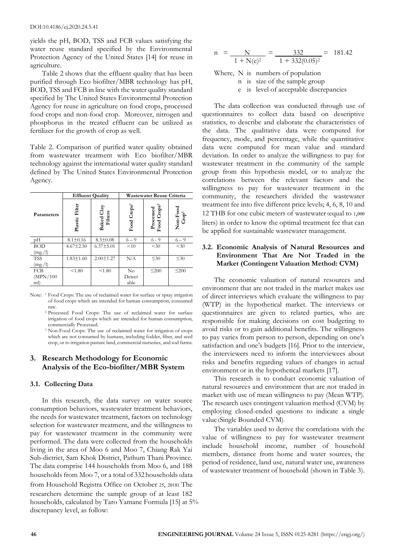yields the pH, BOD, TSS and FCB values satisfying the water reuse standard specified by the Environmental Protection Agency of the United States [14] for reuse in agriculture.

Table 2 shows that the effluent quality that has been purified through Eco biofilter/MBR technology has pH, BOD, TSS and FCB in line with the water quality standard specified by The United States Environmental Protection Agency for reuse in agriculture on food crops, processed food crops and non-food crop. Moreover, nitrogen and phosphorus in the treated effluent can be utilized as fertilizer for the growth of crop as well.

Table 2. Comparison of purified water quality obtained from wastewater treatment with Eco biofilter/MBR technology against the international water quality standard defined by The United States Environmental Protection Agency.

|            |                                                | <b>Effluent Quality</b> | Wastewater Reuse Criteria |                                                          |                               |  |
|------------|------------------------------------------------|-------------------------|---------------------------|----------------------------------------------------------|-------------------------------|--|
| Parameters | Plastic Filter<br><b>Baked Clay</b><br>Filters |                         | Food Crops <sup>1</sup>   | ${\bf Processed} \label{pseudosed} {\bf Food\, Crops^2}$ | Non-Food<br>Grop <sup>3</sup> |  |
| pH         | $8.1 \pm 0.16$                                 | $8.3 \pm 0.08$          | $6 - 9$                   | $6 - 9$                                                  | $6 - 9$                       |  |
| <b>BOD</b> | $4.67 \pm 2.50$                                | $6.37 \pm 5.01$         | < 10                      | $<$ 30                                                   | $<$ 30                        |  |
| (mg./l)    |                                                |                         |                           |                                                          |                               |  |
| <b>TSS</b> | $1.83 \pm 1.60$                                | $2.00 \pm 1.27$         | N/A                       | $\leq 30$                                                | $\leq 30$                     |  |
| (mg./l)    |                                                |                         |                           |                                                          |                               |  |
| <b>FCB</b> | < 1.80                                         | < 1.80                  | No                        | $\leq$ 200                                               | $\leq$ 200                    |  |
| (MPN/100   |                                                |                         | Detect                    |                                                          |                               |  |
| ml)        |                                                |                         | able                      |                                                          |                               |  |

Note: <sup>1</sup> Food Crops: The use of reclaimed water for surface or spray irrigation of food crops which are intended for human consumption, consumed raw.

- <sup>2</sup> Processed Food Crops: The use of reclaimed water for surface irrigation of food crops which are intended for human consumption, commercially Processed.
- <sup>3</sup> Non-Food Crops: The use of reclaimed water for irrigation of crops which are not consumed by humans, including fodder, fiber, and seed crop, or to irrigation pasture land, commercial nurseries, and sod farms.

# **3. Research Methodology for Economic Analysis of the Eco-biofilter/MBR System**

### **3.1. Collecting Data**

In this research, the data survey on water source consumption behaviors, wastewater treatment behaviors, the needs for wastewater treatment, factors on technology selection for wastewater treatment, and the willingness to pay for wastewater treatment in the community were performed. The data were collected from the households living in the area of Moo 6 and Moo 7, Chiang Rak Yai Sub-dictrict, Sam Khok District, Pathum Thani Province. The data comprise 144 households from Moo 6, and 188 households from Moo 7, or a total of 332 households (data from Household Registra Office on October 25, 2018). The researchers determine the sample group of at least 182 households, calculated by Taro Yamane Formula [15] at 5% discrepancy level, as follow:

$$
n = \frac{N}{1 + N(e)^2} = \frac{332}{1 + 332(0.05)^2} = 181.42
$$

Where, N is numbers of population

n is size of the sample group

e is level of acceptable discrepancies

The data collection was conducted through use of questionnaires to collect data based on descriptive statistics, to describe and elaborate the characteristics of the data. The qualitative data were computed for frequency, mode, and percentage, while the quantitative data were computed for mean value and standard deviation. In order to analyze the willingness to pay for wastewater treatment in the community of the sample group from this hypothesis model, or to analyze the correlations between the relevant factors and the willingness to pay for wastewater treatment in the community, the researchers divided the wastewater treatment fee into five different price levels; 4, 6, 8, 10 and 12 THB for one cubic meters of wastewater (equal to 1,000 liters) in order to know the optimal treatment fee that can be applied for sustainable wastewater management.

## **3.2. Economic Analysis of Natural Resources and Environment That Are Not Traded in the Market (Contingent Valuation Method: CVM)**

The economic valuation of natural resources and environment that are not traded in the market makes use of direct interviews which evaluate the willingness to pay (WTP) in the hypothetical market. The interviews or questionnaires are given to related parties, who are responsible for making decisions on cost budgeting to avoid risks or to gain additional benefits. The willingness to pay varies from person to person, depending on one's satisfaction and one's budgets [16]. Prior to the interview, the interviewers need to inform the interviewees about risks and benefits regarding values of changes in actual environment or in the hypothetical markets [17].

This research is to conduct economic valuation of natural resources and environment that are not traded in market with use of mean willingness to pay (Mean WTP). The research uses contingent valuation method (CVM) by employing closed-ended questions to indicate a single value (Single Bounded CVM).

The variables used to derive the correlations with the value of willingness to pay for wastewater treatment include household income, number of household members, distance from home and water sources, the period of residence, land use, natural water use, awareness of wastewater treatment of household (shown in Table 3).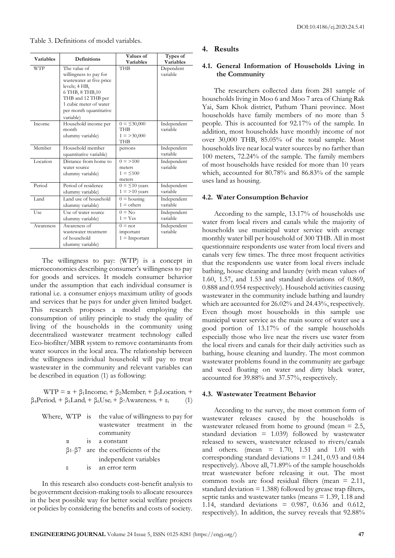Table 3. Definitions of model variables.

| <b>Variables</b> | <b>Definitions</b>                                                                                                                                                                              | Values of<br><b>Variables</b>                                  | Types of<br><b>Variables</b> |
|------------------|-------------------------------------------------------------------------------------------------------------------------------------------------------------------------------------------------|----------------------------------------------------------------|------------------------------|
| <b>WTP</b>       | The value of<br>willingness to pay for<br>wastewater at five price<br>levels; 4 HB,<br>6 THB, 8 THB, 10<br>THB and 12 THB per<br>1 cubic meter of water<br>per month (quantitative<br>variable) | <b>THB</b>                                                     | Dependent<br>variable        |
| Income           | Household income per<br>month<br>(dummy variable)                                                                                                                                               | $0 = \leq 30,000$<br><b>THB</b><br>$1 = >30,000$<br><b>THB</b> | Independent<br>variable      |
| Member           | Household member<br>(quantitative variable)                                                                                                                                                     | persons                                                        | Independent<br>variable      |
| Location         | Distance from home to<br>water source<br>(dummy variable)                                                                                                                                       | $0 \equiv 100$<br>meters<br>$1 = 5100$<br>meters               | Independent<br>variable      |
| Period           | Period of residence<br>(dummy variable)                                                                                                                                                         | $0 = \leq 10$ years<br>$1 = 210$ years                         | Independent<br>variable      |
| Land             | Land use of household<br>(dummy variable)                                                                                                                                                       | $0 =$ housing<br>$1 =$ others                                  | Independent<br>variable      |
| <b>Use</b>       | Use of water source<br>(dummy variable)                                                                                                                                                         | $0 = No$<br>$1 = Yes$                                          | Independent<br>variable      |
| Awareness        | Awareness of<br>wastewater treatment<br>of household<br>(dummy variable)                                                                                                                        | $0 = not$<br>important<br>$1 =$ Important                      | Independent<br>variable      |

The willingness to pay: (WTP) is a concept in microeconomics describing consumer's willingness to pay for goods and services. It models consumer behavior under the assumption that each individual consumer is rational i.e. a consumer enjoys maximum utility of goods and services that he pays for under given limited budget. This research proposes a model employing the consumption of utility principle to study the quality of living of the households in the community using decentralized wastewater treatment technology called Eco-biofilter/MBR system to remove contaminants from water sources in the local area. The relationship between the willingness individual household will pay to treat wastewater in the community and relevant variables can be described in equation (1) as following:

 $WTP = \alpha + \beta_1 Income_i + \beta_2 Member_i + \beta_3Location_i +$  $\beta_4$ Period<sub>i</sub> +  $\beta_5$ Land<sub>i</sub> +  $\beta_6$ Use<sub>i</sub> +  $\beta_7$ Awareness<sub>i</sub> +  $\varepsilon_i$  (1)

|            | Where, WTP is the value of willingness to pay for |
|------------|---------------------------------------------------|
|            | wastewater treatment in the                       |
|            | community                                         |
| $\alpha$ . | is a constant                                     |
|            | $\beta$ 1- $\beta$ 7 are the coefficients of the  |
|            | independent variables                             |
| ε          | 15 an error term                                  |

In this research also conducts cost-benefit analysis to be government decision-making tools to allocate resources in the best possible way for better social welfare projects or policies by considering the benefits and costs of society.

#### **4. Results**

## **4.1. General Information of Households Living in the Community**

The researchers collected data from 281 sample of households living in Moo 6 and Moo 7 area of Chiang Rak Yai, Sam Khok district, Pathum Thani province. Most households have family members of no more than 5 people. This is accounted for 92.17% of the sample. In addition, most households have monthly income of not over 30,000 THB, 85.05% of the total sample. Most households live near local water sources by no farther than 100 meters, 72.24% of the sample. The family members of most households have resided for more than 10 years which, accounted for 80.78% and 86.83% of the sample uses land as housing.

#### **4.2. Water Consumption Behavior**

According to the sample, 13.17% of households use water from local rivers and canals while the majority of households use municipal water service with average monthly water bill per household of 300 THB. All in most questionnaire respondents use water from local rivers and canals very few times. The three most frequent activities that the respondents use water from local rivers include bathing, house cleaning and laundry (with mean values of 1.60, 1.57, and 1.53 and standard deviations of 0.869, 0.888 and 0.954 respectively). Household activities causing wastewater in the community include bathing and laundry which are accounted for 26.02% and 24.43%, respectively. Even though most households in this sample use municipal water service as the main source of water use a good portion of 13.17% of the sample households especially those who live near the rivers use water from the local rivers and canals for their daily activities such as bathing, house cleaning and laundry. The most common wastewater problems found in the community are garbage and weed floating on water and dirty black water, accounted for 39.88% and 37.57%, respectively.

#### **4.3. Wastewater Treatment Behavior**

According to the survey, the most common form of wastewater releases caused by the households is wastewater released from home to ground (mean = 2.5, standard deviation = 1.039) followed by wastewater released to sewers, wastewater released to rivers/canals and others. (mean  $= 1.70, 1.51$  and  $1.01$  with corresponding standard deviations  $= 1.241$ , 0.93 and 0.84 respectively). Above all, 71.89% of the sample households treat wastewater before releasing it out. The most common tools are food residual filters (mean = 2.11, standard deviation  $= 1.388$ ) followed by grease trap filters, septic tanks and wastewater tanks (means  $= 1.39, 1.18$  and 1.14, standard deviations = 0.987, 0.636 and 0.612, respectively). In addition, the survey reveals that 92.88%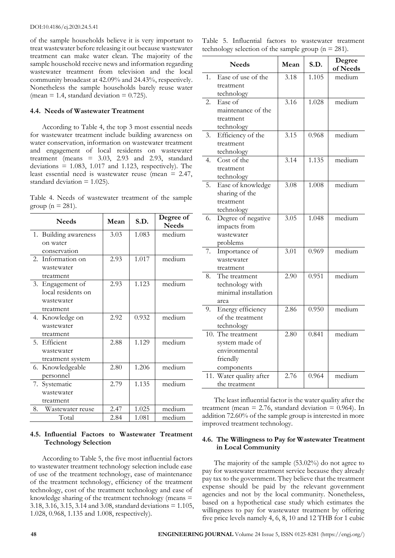of the sample households believe it is very important to treat wastewater before releasing it out because wastewater treatment can make water clean. The majority of the sample household receive news and information regarding wastewater treatment from television and the local community broadcast at 42.09% and 24.43%, respectively. Nonetheless the sample households barely reuse water (mean  $= 1.4$ , standard deviation  $= 0.725$ ).

#### **4.4. Needs of Wastewater Treatment**

According to Table 4, the top 3 most essential needs for wastewater treatment include building awareness on water conservation, information on wastewater treatment and engagement of local residents on wastewater treatment (means  $= 3.03, 2.93$  and 2.93, standard deviations  $= 1.083$ , 1.017 and 1.123, respectively). The least essential need is wastewater reuse (mean = 2.47, standard deviation = 1.025).

Table 4. Needs of wastewater treatment of the sample group ( $n = 281$ ).

| <b>Needs</b>           | Mean | S.D.  | Degree of<br><b>Needs</b> |
|------------------------|------|-------|---------------------------|
| 1. Building awareness  | 3.03 | 1.083 | medium                    |
| on water               |      |       |                           |
| conservation           |      |       |                           |
| 2. Information on      | 2.93 | 1.017 | medium                    |
| wastewater             |      |       |                           |
| treatment              |      |       |                           |
| 3. Engagement of       | 2.93 | 1.123 | medium                    |
| local residents on     |      |       |                           |
| wastewater             |      |       |                           |
| treatment              |      |       |                           |
| 4. Knowledge on        | 2.92 | 0.932 | medium                    |
| wastewater             |      |       |                           |
| treatment              |      |       |                           |
| 5. Efficient           | 2.88 | 1.129 | medium                    |
| wastewater             |      |       |                           |
| treatment system       |      |       |                           |
| 6. Knowledgeable       | 2.80 | 1.206 | medium                    |
| personnel              |      |       |                           |
| 7. Systematic          | 2.79 | 1.135 | medium                    |
| wastewater             |      |       |                           |
| treatment              |      |       |                           |
| 8.<br>Wastewater reuse | 2.47 | 1.025 | medium                    |
| Total                  | 2.84 | 1.081 | medium                    |

## **4.5. Influential Factors to Wastewater Treatment Technology Selection**

According to Table 5, the five most influential factors to wastewater treatment technology selection include ease of use of the treatment technology, ease of maintenance of the treatment technology, efficiency of the treatment technology, cost of the treatment technology and ease of knowledge sharing of the treatment technology (means = 3.18, 3.16, 3.15, 3.14 and 3.08, standard deviations = 1.105, 1.028, 0.968, 1.135 and 1.008, respectively).

Table 5. Influential factors to wastewater treatment technology selection of the sample group ( $n = 281$ ).

|                  | <b>Needs</b>         | Mean | S.D.  | Degree<br>of Needs |
|------------------|----------------------|------|-------|--------------------|
| 1.               | Ease of use of the   | 3.18 | 1.105 | medium             |
|                  | treatment            |      |       |                    |
|                  | technology           |      |       |                    |
| $\overline{2}$ . | Ease of              | 3.16 | 1.028 | medium             |
|                  | maintenance of the   |      |       |                    |
|                  | treatment            |      |       |                    |
|                  | technology           |      |       |                    |
| 3.               | Efficiency of the    | 3.15 | 0.968 | medium             |
|                  | treatment            |      |       |                    |
|                  | technology           |      |       |                    |
| 4.               | Cost of the          | 3.14 | 1.135 | medium             |
|                  | treatment            |      |       |                    |
|                  | technology           |      |       |                    |
| 5.               | Ease of knowledge    | 3.08 | 1.008 | medium             |
|                  | sharing of the       |      |       |                    |
|                  | treatment            |      |       |                    |
|                  | technology           |      |       |                    |
| 6.               | Degree of negative   | 3.05 | 1.048 | medium             |
|                  | impacts from         |      |       |                    |
|                  | wastewater           |      |       |                    |
|                  | problems             |      |       |                    |
| 7.               | Importance of        | 3.01 | 0.969 | medium             |
|                  | wastewater           |      |       |                    |
|                  | treatment            |      |       |                    |
| 8.               | The treatment        | 2.90 | 0.951 | medium             |
|                  | technology with      |      |       |                    |
|                  | minimal installation |      |       |                    |
|                  | area                 |      |       |                    |
| 9.               | Energy efficiency    | 2.86 | 0.950 | medium             |
|                  | of the treatment     |      |       |                    |
|                  | technology           |      |       |                    |
|                  | 10. The treatment    | 2.80 | 0.841 | medium             |
|                  | system made of       |      |       |                    |
|                  | environmental        |      |       |                    |
|                  | friendly             |      |       |                    |
|                  | components           |      |       |                    |
| 11.              | Water quality after  | 2.76 | 0.964 | medium             |
|                  | the treatment        |      |       |                    |

The least influential factor is the water quality after the treatment (mean  $= 2.76$ , standard deviation  $= 0.964$ ). In addition 72.60% of the sample group is interested in more improved treatment technology.

### **4.6. The Willingness to Pay for Wastewater Treatment in Local Community**

The majority of the sample (53.02%) do not agree to pay for wastewater treatment service because they already pay tax to the government. They believe that the treatment expense should be paid by the relevant government agencies and not by the local community. Nonetheless, based on a hypothetical case study which estimates the willingness to pay for wastewater treatment by offering five price levels namely 4, 6, 8, 10 and 12 THB for 1 cubic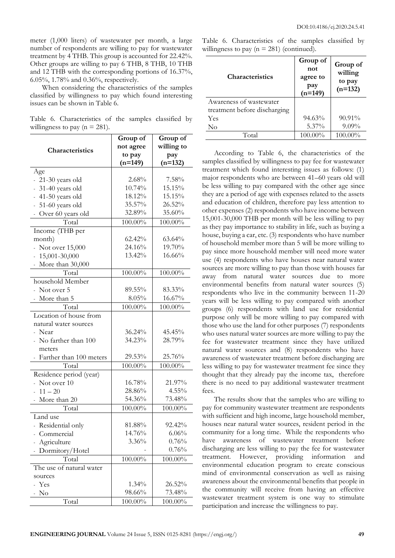meter (1,000 liters) of wastewater per month, a large number of respondents are willing to pay for wastewater treatment by 4 THB. This group is accounted for 22.42%. Other groups are willing to pay 6 THB, 8 THB, 10 THB and 12 THB with the corresponding portions of 16.37%, 6.05%, 1.78% and 0.36%, respectively.

When considering the characteristics of the samples classified by willingness to pay which found interesting issues can be shown in Table 6.

Table 6. Characteristics of the samples classified by willingness to pay ( $n = 281$ ).

|                                              | Group of  | Group of   |  |  |
|----------------------------------------------|-----------|------------|--|--|
| Characteristics                              | not agree | willing to |  |  |
|                                              | to pay    | pay        |  |  |
|                                              | $(n=149)$ | $(n=132)$  |  |  |
| Age                                          |           |            |  |  |
| 21-30 years old                              | 2.68%     | 7.58%      |  |  |
| 31-40 years old                              | 10.74%    | 15.15%     |  |  |
| 41-50 years old<br>Ξ.                        | 18.12%    | 15.15%     |  |  |
| 51-60 years old                              | 35.57%    | 26.52%     |  |  |
| Over 60 years old                            | 32.89%    | 35.60%     |  |  |
| Total                                        | 100.00%   | 100.00%    |  |  |
| Income (THB per                              |           |            |  |  |
| month)                                       | 62.42%    | 63.64%     |  |  |
| Not over 15,000                              | 24.16%    | 19.70%     |  |  |
| 15,001-30,000<br>$\mathcal{L}_{\mathcal{A}}$ | 13.42%    | 16.66%     |  |  |
| More than 30,000<br>Ξ.                       |           |            |  |  |
| Total                                        | 100.00%   | 100.00%    |  |  |
| household Member                             |           |            |  |  |
| - Not over 5                                 | 89.55%    | 83.33%     |  |  |
| - More than 5                                | 8.05%     | 16.67%     |  |  |
| Total                                        | 100.00%   | 100.00%    |  |  |
| Location of house from                       |           |            |  |  |
| natural water sources                        |           |            |  |  |
| Near                                         | 36.24%    | 45.45%     |  |  |
| - No farther than 100                        | 34.23%    | 28.79%     |  |  |
| meters                                       |           |            |  |  |
| Farther than 100 meters                      | 29.53%    | 25.76%     |  |  |
| Total                                        | 100.00%   | 100.00%    |  |  |
| Residence period (year)                      |           |            |  |  |
| Not over 10                                  | 16.78%    | 21.97%     |  |  |
| $11 - 20$<br>a.                              | 28.86%    | 4.55%      |  |  |
| More than 20<br>÷.                           | 54.36%    | 73.48%     |  |  |
| Total                                        | 100.00%   | 100.00%    |  |  |
| Land use                                     |           |            |  |  |
| - Residential only                           | 81.88%    | 92.42%     |  |  |
| Commercial                                   | 14.76%    | 6.06%      |  |  |
| Agriculture                                  | 3.36%     | 0.76%      |  |  |
| Dormitory/Hotel                              |           | 0.76%      |  |  |
| Total                                        | 100.00%   | 100.00%    |  |  |
| The use of natural water                     |           |            |  |  |
| sources                                      |           |            |  |  |
| Yes                                          | 1.34%     | 26.52%     |  |  |
| No                                           | 98.66%    | 73.48%     |  |  |
| Total                                        | 100.00%   | 100.00%    |  |  |

Table 6. Characteristics of the samples classified by willingness to pay  $(n = 281)$  (continued).

| <b>Characteristics</b>       | Group of<br>not<br>agree to<br>pay<br>$(n=149)$ | Group of<br>willing<br>to pay<br>$(n=132)$ |  |
|------------------------------|-------------------------------------------------|--------------------------------------------|--|
| Awareness of wastewater      |                                                 |                                            |  |
| treatment before discharging |                                                 |                                            |  |
| <b>Yes</b>                   | $94.63\%$                                       | $90.91\%$                                  |  |
| No                           | $5.37\%$                                        | $9.09\%$                                   |  |
| Total                        | $100.00\%$                                      | $100.00\%$                                 |  |

According to Table 6, the characteristics of the samples classified by willingness to pay fee for wastewater treatment which found interesting issues as follows: (1) major respondents who are between 41–60 years old will be less willing to pay compared with the other age since they are a period of age with expenses related to the assets and education of children, therefore pay less attention to other expenses (2) respondents who have income between 15,001-30,000 THB per month will be less willing to pay as they pay importance to stability in life, such as buying a house, buying a car, etc. (3) respondents who have number of household member more than 5 will be more willing to pay since more household member will need more water use (4) respondents who have houses near natural water sources are more willing to pay than those with houses far away from natural water sources due to more environmental benefits from natural water sources (5) respondents who live in the community between 11-20 years will be less willing to pay compared with another groups (6) respondents with land use for residential purpose only will be more willing to pay compared with those who use the land for other purposes (7) respondents who uses natural water sources are more willing to pay the fee for wastewater treatment since they have utilized natural water sources and (8) respondents who have awareness of wastewater treatment before discharging are less willing to pay for wastewater treatment fee since they thought that they already pay the income tax, therefore there is no need to pay additional wastewater treatment fees.

The results show that the samples who are willing to pay for community wastewater treatment are respondents with sufficient and high income, large household member, houses near natural water sources, resident period in the community for a long time. While the respondents who have awareness of wastewater treatment before discharging are less willing to pay the fee for wastewater treatment. However, providing information and environmental education program to create conscious mind of environmental conservation as well as raising awareness about the environmental benefits that people in the community will receive from having an effective wastewater treatment system is one way to stimulate participation and increase the willingness to pay.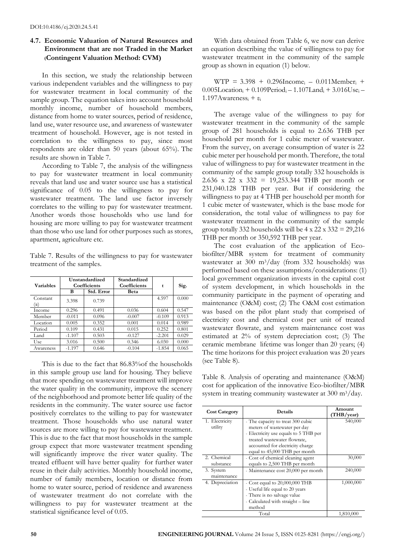# **4.7. Economic Valuation of Natural Resources and Environment that are not Traded in the Market (Contingent Valuation Method: CVM)**

In this section, we study the relationship between various independent variables and the willingness to pay for wastewater treatment in local community of the sample group. The equation takes into account household monthly income, number of household members, distance from home to water sources, period of residence, land use, water resource use, and awareness of wastewater treatment of household. However, age is not tested in correlation to the willingness to pay, since most respondents are older than 50 years (about 65%). The results are shown in Table 7.

According to Table 7, the analysis of the willingness to pay for wastewater treatment in local community reveals that land use and water source use has a statistical significance of 0.05 to the willingness to pay for wastewater treatment. The land use factor inversely correlates to the willing to pay for wastewater treatment. Another words those households who use land for housing are more willing to pay for wastewater treatment than those who use land for other purposes such as stores, apartment, agriculture etc.

Table 7. Results of the willingness to pay for wastewater treatment of the samples.

| <b>Variables</b> | Unstandardized<br>Coefficients |            | Standardized<br>Coefficients | t        | Sig.  |
|------------------|--------------------------------|------------|------------------------------|----------|-------|
|                  | B                              | Std. Error | Beta                         |          |       |
| Constant<br>(α)  | 3.398                          | 0.739      |                              | 4.597    | 0.000 |
| Income           | 0.296                          | 0.491      | 0.036                        | 0.604    | 0.547 |
| Member           | $-0.011$                       | 0.096      | $-0.007$                     | $-0.109$ | 0.913 |
| Location         | 0.005                          | 0.352      | 0.001                        | 0.014    | 0.989 |
| Period           | 0.109                          | 0.431      | 0.015                        | 0.252    | 0.801 |
| Land             | $-1.107$                       | 0.503      | $-0.127$                     | $-2.201$ | 0.029 |
| Use              | 3.016                          | 0.500      | 0.346                        | 6.030    | 0.000 |
| Awareness        | $-1.197$                       | 0.646      | $-0.104$                     | $-1.854$ | 0.065 |

This is due to the fact that 86.83%of the households in this sample group use land for housing. They believe that more spending on wastewater treatment will improve the water quality in the community, improve the scenery of the neighborhood and promote better life quality of the residents in the community. The water source use factor positively correlates to the willing to pay for wastewater treatment. Those households who use natural water sources are more willing to pay for wastewater treatment. This is due to the fact that most households in the sample group expect that more wastewater treatment spending will significantly improve the river water quality. The treated effluent will have better quality for further water reuse in their daily activities. Monthly household income, number of family members, location or distance from home to water source, period of residence and awareness of wastewater treatment do not correlate with the willingness to pay for wastewater treatment at the statistical significance level of 0.05.

With data obtained from Table 6, we now can derive an equation describing the value of willingness to pay for wastewater treatment in the community of the sample group as shown in equation (1) below.

 $WTP = 3.398 + 0.296$ Income<sub>i</sub> – 0.011Member<sub>i</sub> +  $0.005$ Location<sub>i</sub> +  $0.109$ Period<sub>i</sub> -  $1.107$ Land<sub>i</sub> +  $3.016$ Use<sub>i</sub> -1.197Awareness<sup>i</sup> + ε<sup>i</sup>

The average value of the willingness to pay for wastewater treatment in the community of the sample group of 281 households is equal to 2.636 THB per household per month for 1 cubic meter of wastewater. From the survey, on average consumption of water is 22 cubic meter per household per month. Therefore, the total value of willingness to pay for wastewater treatment in the community of the sample group totally 332 households is 2.636 x 22 x 332 = 19,253.344 THB per month or 231,040.128 THB per year. But if considering the willingness to pay at 4 THB per household per month for 1 cubic meter of wastewater, which is the base mode for consideration, the total value of willingness to pay for wastewater treatment in the community of the sample group totally 332 households will be  $4 \times 22 \times 332 = 29,216$ THB per month or 350,592 THB per year.

The cost evaluation of the application of Ecobiofilter/MBR system for treatment of community wastewater at 300 m3/day (from 332 households) was performed based on these assumptions/considerations: (1) local government organization invests in the capital cost of system development, in which households in the community participate in the payment of operating and maintenance (O&M) cost; (2) The O&M cost estimation was based on the pilot plant study that comprised of electricity cost and chemical cost per unit of treated wastewater flowrate, and system maintenance cost was estimated at 2% of system depreciation cost; (3) The ceramic membrane lifetime was longer than 20 years; (4) The time horizons for this project evaluation was 20 years (see Table 8).

Table 8. Analysis of operating and maintenance (O&M) cost for application of the innovative Eco-biofilter/MBR system in treating community wastewater at 300 m3/day.

| <b>Cost Category</b>      | Details                                                                                                                                           | Amount<br>(THB/vear) |
|---------------------------|---------------------------------------------------------------------------------------------------------------------------------------------------|----------------------|
| 1. Electricity<br>utility | - The capacity to treat 300 cubic<br>meters of wastewater per day<br>- Electricity use equals to 5 THB per                                        | 540,000              |
|                           | treated wastewater flowrate,<br>accounted for electricity charge<br>equal to 45,000 THB per month                                                 |                      |
| 2. Chemical<br>substance  | - Cost of chemical cleaning agent<br>equals to 2,500 THB per month                                                                                | 30,000               |
| 3. System<br>maintenance  | - Maintenance cost 20,000 per month                                                                                                               | 240,000              |
| 4. Depreciation           | - Cost equal to $20,000,000$ THB<br>- Useful life equal to 20 years<br>- There is no salvage value<br>- Calculated with straight - line<br>method | 1,000,000            |
|                           | Total                                                                                                                                             | 1,810,000            |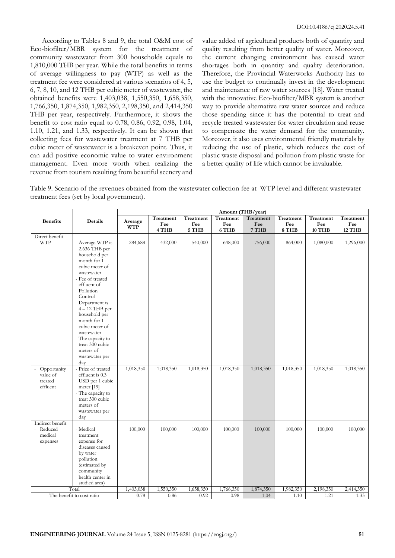According to Tables 8 and 9, the total O&M cost of Eco-biofilter/MBR system for the treatment of community wastewater from 300 households equals to 1,810,000 THB per year. While the total benefits in terms of average willingness to pay (WTP) as well as the treatment fee were considered at various scenarios of 4, 5, 6, 7, 8, 10, and 12 THB per cubic meter of wastewater, the obtained benefits were 1,403,038, 1,550,350, 1,658,350, 1,766,350, 1,874,350, 1,982,350, 2,198,350, and 2,414,350 THB per year, respectively. Furthermore, it shows the benefit to cost ratio equal to 0.78, 0.86, 0.92, 0.98, 1.04, 1.10, 1.21, and 1.33, respectively. It can be shown that collecting fees for wastewater treatment at 7 THB per cubic meter of wastewater is a breakeven point. Thus, it can add positive economic value to water environment management. Even more worth when realizing the revenue from tourism resulting from beautiful scenery and value added of agricultural products both of quantity and quality resulting from better quality of water. Moreover, the current changing environment has caused water shortages both in quantity and quality deterioration. Therefore, the Provincial Waterworks Authority has to use the budget to continually invest in the development and maintenance of raw water sources [18]. Water treated with the innovative Eco-biofilter/MBR system is another way to provide alternative raw water sources and reduce those spending since it has the potential to treat and recycle treated wastewater for water circulation and reuse to compensate the water demand for the community. Moreover, it also uses environmental friendly materials by reducing the use of plastic, which reduces the cost of plastic waste disposal and pollution from plastic waste for a better quality of life which cannot be invaluable.

Table 9. Scenario of the revenues obtained from the wastewater collection fee at WTP level and different wastewater treatment fees (set by local government).

| Amount (THB/year)                                    |                                                                                                                                                                                                                                                                                                                                           |                       |                           |                           |                           |                           |                           |                            |                            |
|------------------------------------------------------|-------------------------------------------------------------------------------------------------------------------------------------------------------------------------------------------------------------------------------------------------------------------------------------------------------------------------------------------|-----------------------|---------------------------|---------------------------|---------------------------|---------------------------|---------------------------|----------------------------|----------------------------|
| <b>Benefits</b>                                      | Details                                                                                                                                                                                                                                                                                                                                   | Average<br><b>WTP</b> | Treatment<br>Fee<br>4 THB | Treatment<br>Fee<br>5 THB | Treatment<br>Fee<br>6 THB | Treatment<br>Fee<br>7 THB | Treatment<br>Fee<br>8 THB | Treatment<br>Fee<br>10 THB | Treatment<br>Fee<br>12 THB |
| Direct benefit<br>$-WTP$                             | - Average WTP is<br>2.636 THB per<br>household per<br>month for 1<br>cubic meter of<br>wastewater<br>Fee of treated<br>effluent of<br>Pollution<br>Control<br>Department is<br>$4-12$ THB per<br>household per<br>month for 1<br>cubic meter of<br>wastewater<br>The capacity to<br>treat 300 cubic<br>meters of<br>wastewater per<br>day | 284,688               | 432,000                   | 540,000                   | 648,000                   | 756,000                   | 864,000                   | 1,080,000                  | 1,296,000                  |
| Opportunity<br>÷.<br>value of<br>treated<br>effluent | Price of treated<br>effluent is 0.3<br>USD per 1 cubic<br>meter [19]<br>The capacity to<br>treat 300 cubic<br>meters of<br>wastewater per<br>day                                                                                                                                                                                          | 1,018,350             | 1,018,350                 | 1,018,350                 | 1,018,350                 | 1,018,350                 | 1,018,350                 | 1,018,350                  | 1,018,350                  |
| Indirect benefit<br>- Reduced<br>medical<br>expenses | - Medical<br>treatment<br>expense for<br>diseases caused<br>by water<br>pollution<br>(estimated by<br>community<br>health center in<br>studied area)                                                                                                                                                                                      | 100,000               | 100,000                   | 100,000                   | 100,000                   | 100,000                   | 100,000                   | 100,000                    | 100,000                    |
|                                                      | Total                                                                                                                                                                                                                                                                                                                                     | 1,403,038             | 1,550,350                 | 1,658,350                 | 1,766,350                 | 1,874,350                 | 1,982,350                 | 2,198,350                  | 2,414,350                  |
|                                                      | The benefit to cost ratio                                                                                                                                                                                                                                                                                                                 | 0.78                  | 0.86                      | 0.92                      | 0.98                      | 1.04                      | 1.10                      | 1.21                       | 1.33                       |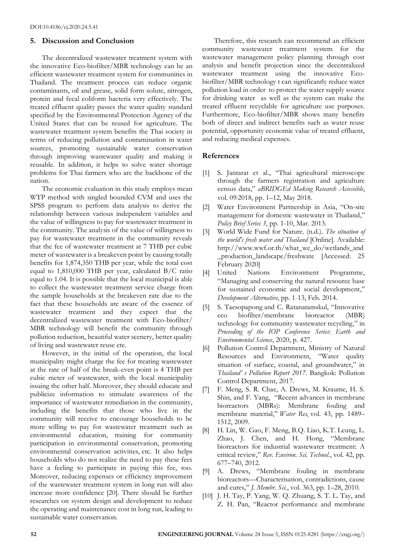# **5. Discussion and Conclusion**

The decentralized wastewater treatment system with the innovative Eco-biofilter/MBR technology can be an efficient wastewater treatment system for communities in Thailand. The treatment process can reduce organic contaminants, oil and grease, solid form solute, nitrogen, protein and fecal coliform bacteria very effectively. The treated effluent quality passes the water quality standard specified by the Environmental Protection Agency of the United States that can be reused for agriculture. The wastewater treatment system benefits the Thai society in terms of reducing pollution and contamination in water sources, promoting sustainable water conservation through improving wastewater quality and making it reusable. In addition, it helps to solve water shortage problems for Thai farmers who are the backbone of the nation.

The economic evaluation in this study employs mean WTP method with singled bounded CVM and uses the SPSS program to perform data analysis to derive the relationship between various independent variables and the value of willingness to pay for wastewater treatment in the community. The analysis of the value of willingness to pay for wastewater treatment in the community reveals that the fee of wastewater treatment at 7 THB per cubic meter of wastewater is a breakeven point by causing totally benefits for 1,874,350 THB per year, while the total cost equal to 1,810,000 THB per year, calculated B/C ratio equal to 1.04. It is possible that the local municipal is able to collect the wastewater treatment service charge from the sample households at the breakeven rate due to the fact that these households are aware of the essence of wastewater treatment and they expect that the decentralized wastewater treatment with Eco-biofilter/ MBR technology will benefit the community through pollution reduction, beautiful water scenery, better quality of living and wastewater reuse etc.

However, in the initial of the operation, the local municipality might charge the fee for treating wastewater at the rate of half of the break-even point is 4 THB per cubic meter of wastewater, with the local municipality issuing the other half. Moreover, they should educate and publicize information to stimulate awareness of the importance of wastewater remediation in the community, including the benefits that those who live in the community will receive to encourage households to be more willing to pay for wastewater treatment such as environmental education, training for community participation in environmental conservation, promoting environmental conservation activities, etc. It also helps households who do not realize the need to pay these fees have a feeling to participate in paying this fee, too. Moreover, reducing expenses or efficiency improvement of the wastewater treatment system in long run will also increase more confidence [20]. There should be further researches on system design and development to reduce the operating and maintenance cost in long run, leading to sustainable water conservation.

Therefore, this research can recommend an efficient community wastewater treatment system for the wastewater management policy planning through cost analysis and benefit projection since the decentralized wastewater treatment using the innovative Ecobiofilter/MBR technology t can significantly reduce water pollution load in order to protect the water supply source for drinking water as well as the system can make the treated effluent recyclable for agriculture use purposes. Furthermore, Eco-biofilter/MBR shows many benefits both of direct and indirect benefits such as water reuse potential, opportunity economic value of treated effluent, and reducing medical expenses.

# **References**

- [1] S. Jantarat et al., "Thai agricultural microscope through the farmers registration and agriculture census data," *aBRIDGEd Making Research Accessible*, vol. 09/2018, pp. 1–12, May 2018.
- [2] Water Environment Partnership in Asia, "On-site management for domestic wastewater in Thailand," *Policy Brief Series 3*, pp. 1-10, Mar. 2013.
- [3] World Wide Fund for Nature. (n.d.). *The situation of the world's fresh water and Thailand* [Online]. Available: http://www.wwf.or.th/what\_we\_do/wetlands\_and \_production\_landscape/freshwate [Accessed: 25 February 2020]
- [4] United Nations Environment Programme, "Managing and conserving the natural resource base for sustained economic and social development," *Development Alternative*, pp. 1–13, Feb. 2014.
- [5] S. Taesopapong and C. Ratanatamskul, "Innovative eco biofilter/membrane bioreactor (MBR) technology for community wastewater recycling," in *Proceeding of the IOP Conference Series: Earth and Environmental Science*, 2020, p. 427.
- [6] Pollution Control Department, Ministry of Natural Resources and Environment, "Water quality situation of surface, coastal, and groundwater," in *Thailand' s Pollution Report 2017*. Bangkok: Pollution Control Department, 2017.
- [7] F. Meng, S. R. Chae, A. Drews, M. Kraume, H. S. Shin, and F. Yang, "Recent advances in membrane bioreactors (MBRs): Membrane fouling and membrane material," *Water Res*, vol. 43, pp. 1489– 1512, 2009.
- [8] H. Lin, W. Gao, F. Meng, B.Q. Liao, K.T. Leung, L. Zhao, J. Chen, and H. Hong, "Membrane bioreactors for industrial wastewater treatment: A critical review," *Rev. Environ. Sci. Technol.*, vol. 42, pp. 677–740, 2012.
- [9] A. Drews, "Membrane fouling in membrane bioreactors—Characterisation, contradictions, cause and cures," *J. Membr. Sci.*, vol. 363, pp. 1–28, 2010.
- [10] J. H. Tay, P. Yang, W. Q. Zhuang, S. T. L. Tay, and Z. H. Pan, "Reactor performance and membrane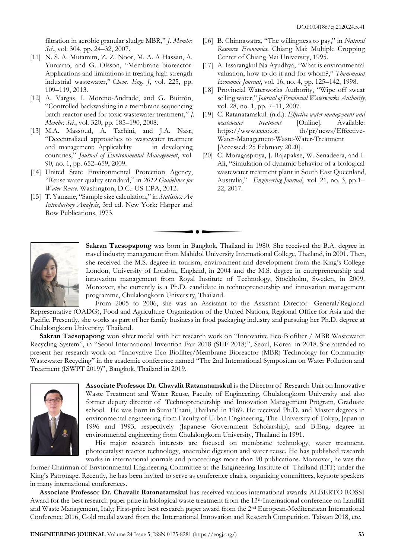filtration in aerobic granular sludge MBR," *J. Membr. Sci*., vol. 304, pp. 24–32, 2007.

- [11] N. S. A. Mutamim, Z. Z. Noor, M. A. A Hassan, A. Yuniarto, and G. Olsson, "Membrane bioreactor: Applications and limitations in treating high strength industrial wastewater," *Chem. Eng. J*, vol. 225, pp. 109–119, 2013.
- [12] A. Vargas, I. Moreno-Andrade, and G. Buitrón, "Controlled backwashing in a membrane sequencing batch reactor used for toxic wastewater treatment," *J. Membr. Sci.*, vol. 320, pp. 185–190, 2008.
- [13] M.A. Massoud, A. Tarhini, and J.A. Nasr, "Decentralized approaches to wastewater treatment and management: Applicability in developing countries," *[Journal of Environmental Management](https://www.researchgate.net/journal/0301-4797_Journal_of_Environmental_Management)*, vol. 90, no. 1, pp. 652–659, 2009.
- [14] United State Environmental Protection Agency, "Reuse water quality standard," in *2012 Guidelines for Water Reuse*. Washington, D.C.: US-EPA, 2012.
- [15] T. Yamane, "Sample size calculation," in *Statistics: An Introductory Analysis*, 3rd ed. New York: Harper and Row Publications, 1973.
- [16] B. Chinnawatra, "The willingness to pay," in *Natural Resource Economics*. Chiang Mai: Multiple Cropping Center of Chiang Mai University, 1995.
- [17] A. Issarangkul Na Ayudhya, "What is environmental valuation, how to do it and for whom?," *Thammasat Economic Journal*, vol. 16, no. 4, pp. 125–142, 1998.
- [18] Provincial Waterworks Authority, "Wipe off sweat selling water," *Journal of Provincial Waterworks Authority*, vol. 28, no. 1, pp. 7–11, 2007.
- [19] C. Ratanatamskul. (n.d.). *Effective water management and wastewater treatment* [Online]. Available: https://www.eeco.or. th/pr/news/Effective-Water-Management-Waste-Water-Treatment [Accessed: 25 February 2020].
- [20] C. Moragaspitiya, J. Rajapakse, W. Senadeera, and I. Ali, "Simulation of dynamic behavior of a biological wastewater treatment plant in South East Queenland, Australia," *Engineering Journal*, vol. 21, no. 3, pp.1– 22, 2017.



**Sakran Taesopapong** was born in Bangkok, Thailand in 1980. She received the B.A. degree in travel industry management from Mahidol University International College, Thailand, in 2001. Then, she received the M.S. degree in tourism, environment and development from the King's College London, University of London, England, in 2004 and the M.S. degree in entrepreneurship and innovation management from Royal Institute of Technology, Stockholm, Sweden, in 2009. Moreover, she currently is a Ph.D. candidate in technopreneurship and innovation management programme, Chulalongkorn University, Thailand.

From 2005 to 2006, she was an Assistant to the Assistant Director- General/Regional Representative (OADG), Food and Agriculture Organization of the United Nations, Regional Office for Asia and the Pacific. Presently, she works as part of her family business in food packaging industry and pursuing her Ph.D. degree at Chulalongkorn University, Thailand.

**Sakran Taesopapong** won silver medal with her research work on "Innovative Eco-Biofilter / MBR Wastewater Recycling System", in "Seoul International Invention Fair 2018 (SIIF 2018)", Seoul, Korea in 2018. She attended to present her research work on "Innovative Eco Biofilter/Membrane Bioreactor (MBR) Technology for Community Wastewater Recycling" in the academic conference named "The 2nd International Symposium on Water Pollution and Treatment (ISWPT 2019)", Bangkok, Thailand in 2019.



**Associate Professor Dr. Chavalit Ratanatamskul** is the Director of Research Unit on Innovative Waste Treatment and Water Reuse, Faculty of Engineering, Chulalongkorn University and also former deputy director of Technopreneurship and Innovation Management Program, Graduate school. He was born in Surat Thani, Thailand in 1969. He received Ph.D. and Master degrees in environmental engineering from Faculty of Urban Engineering, The University of Tokyo, Japan in 1996 and 1993, respectively (Japanese Government Scholarship), and B.Eng. degree in environmental engineering from Chulalongkorn University, Thailand in 1991.

His major research interests are focused on membrane technology, water treatment, photocatalyst reactor technology, anaerobic digestion and water reuse. He has published research works in international journals and proceedings more than 90 publications. Moreover, he was the

former Chairman of Environmental Engineering Committee at the Engineering Institute of Thailand (EIT) under the King's Patronage. Recently, he has been invited to serve as conference chairs, organizing committees, keynote speakers in many international conferences.

**Associate Professor Dr. Chavalit Ratanatamskul** has received various international awards: ALBERTO ROSSI Award for the best research paper prize in biological waste treatment from the 13<sup>th</sup> International conference on Landfill and Waste Management, Italy; First-prize best research paper award from the 2<sup>nd</sup> European-Mediteranean International Conference 2016, Gold medal award from the International Innovation and Research Competition, Taiwan 2018, etc.